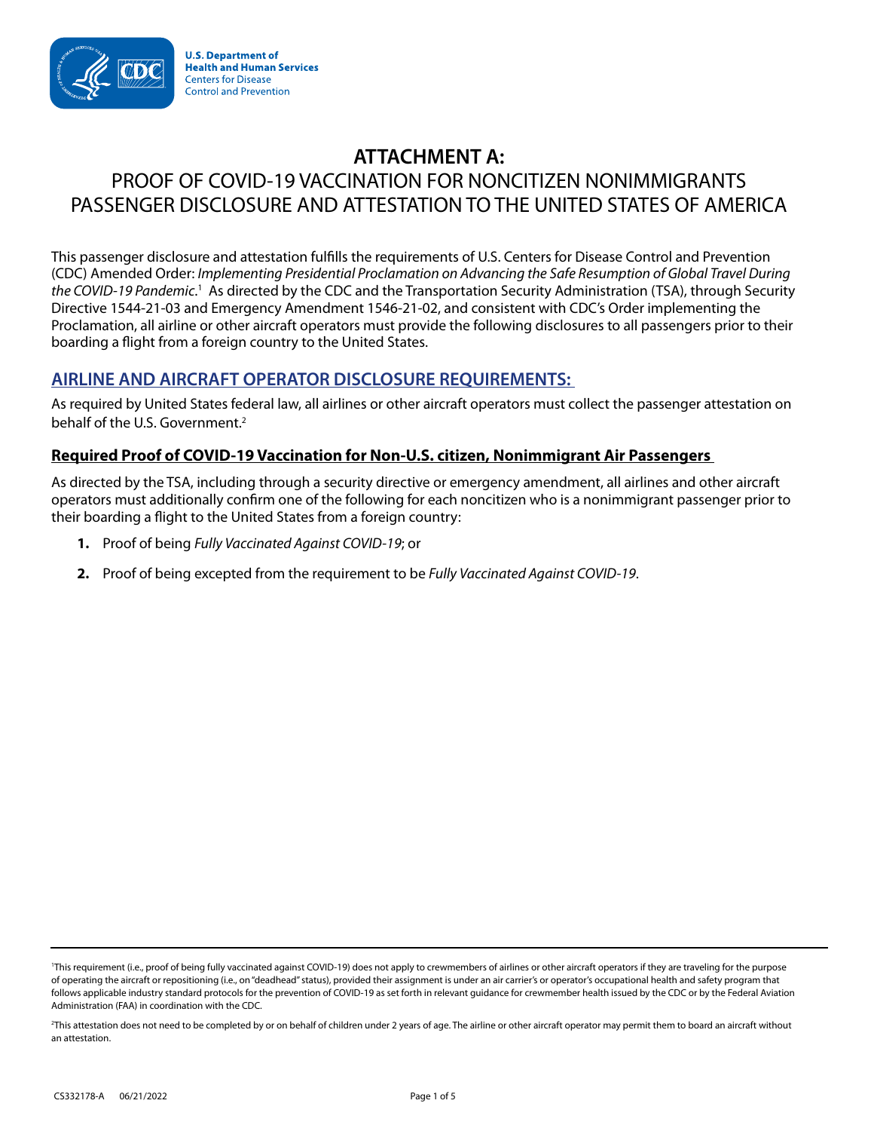

**U.S. Department of Health and Human Services Centers for Disease Control and Prevention** 

# **ATTACHMENT A:**  PROOF OF COVID-19 VACCINATION FOR NONCITIZEN NONIMMIGRANTS PASSENGER DISCLOSURE AND ATTESTATION TO THE UNITED STATES OF AMERICA

This passenger disclosure and attestation fulfills the requirements of U.S. Centers for Disease Control and Prevention (CDC) Amended Order: *Implementing Presidential Proclamation on Advancing the Safe Resumption of Global Travel During*  the COVID-19 Pandemic.<sup>1</sup> As directed by the CDC and the Transportation Security Administration (TSA), through Security Directive 1544-21-03 and Emergency Amendment 1546-21-02, and consistent with CDC's Order implementing the Proclamation, all airline or other aircraft operators must provide the following disclosures to all passengers prior to their boarding a flight from a foreign country to the United States.

## **AIRLINE AND AIRCRAFT OPERATOR DISCLOSURE REQUIREMENTS:**

As required by United States federal law, all airlines or other aircraft operators must collect the passenger attestation on behalf of the U.S. Government.<sup>2</sup>

### **Required Proof of COVID-19 Vaccination for Non-U.S. citizen, Nonimmigrant Air Passengers**

As directed by the TSA, including through a security directive or emergency amendment, all airlines and other aircraft operators must additionally confirm one of the following for each noncitizen who is a nonimmigrant passenger prior to their boarding a flight to the United States from a foreign country:

- **1.** Proof of being *Fully Vaccinated Against COVID-19*; or
- **2.** Proof of being excepted from the requirement to be *Fully Vaccinated Against COVID-19*.

<sup>&</sup>lt;sup>1</sup>This requirement (i.e., proof of being fully vaccinated against COVID-19) does not apply to crewmembers of airlines or other aircraft operators if they are traveling for the purpose of operating the aircraft or repositioning (i.e., on "deadhead" status), provided their assignment is under an air carrier's or operator's occupational health and safety program that follows applicable industry standard protocols for the prevention of COVID-19 as set forth in relevant guidance for crewmember health issued by the CDC or by the Federal Aviation Administration (FAA) in coordination with the CDC.

<sup>2</sup> This attestation does not need to be completed by or on behalf of children under 2 years of age. The airline or other aircraft operator may permit them to board an aircraft without an attestation.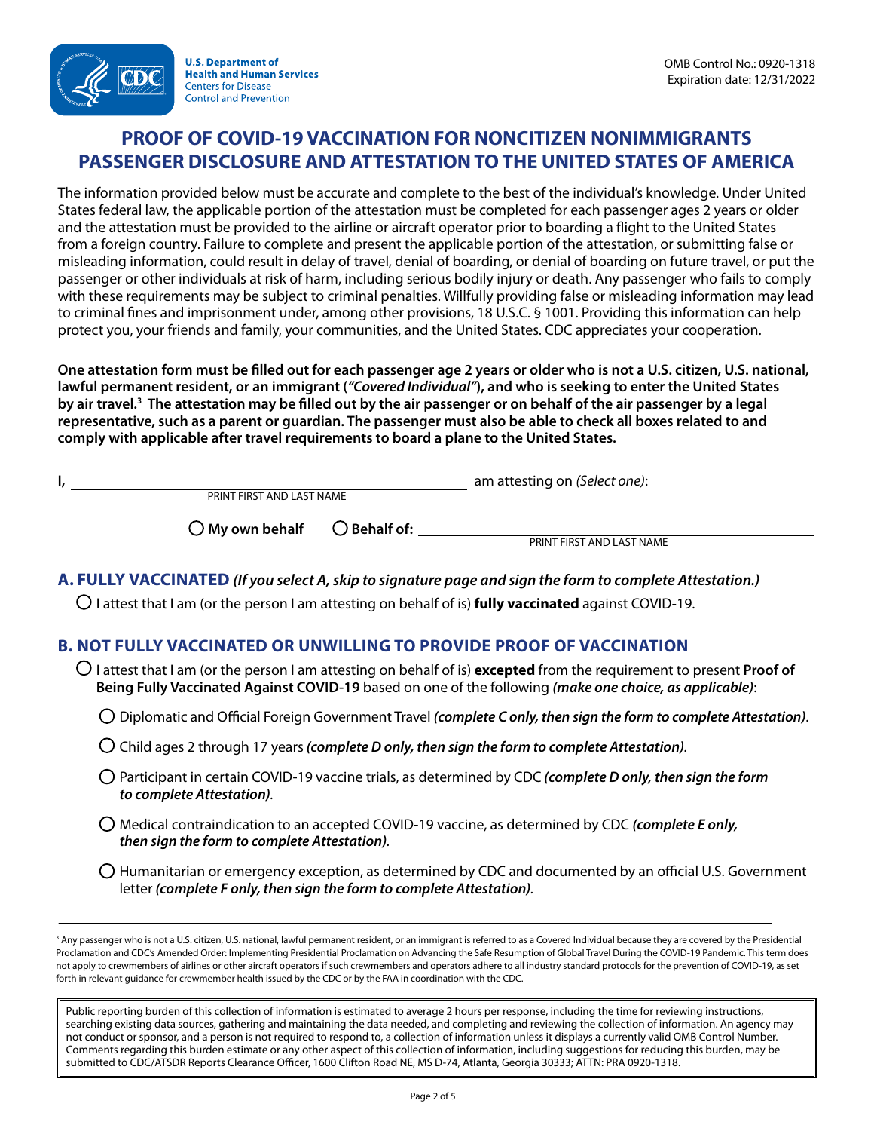# **PROOF OF COVID-19 VACCINATION FOR NONCITIZEN NONIMMIGRANTS PASSENGER DISCLOSURE AND ATTESTATION TO THE UNITED STATES OF AMERICA**

The information provided below must be accurate and complete to the best of the individual's knowledge. Under United States federal law, the applicable portion of the attestation must be completed for each passenger ages 2 years or older and the attestation must be provided to the airline or aircraft operator prior to boarding a flight to the United States from a foreign country. Failure to complete and present the applicable portion of the attestation, or submitting false or misleading information, could result in delay of travel, denial of boarding, or denial of boarding on future travel, or put the passenger or other individuals at risk of harm, including serious bodily injury or death. Any passenger who fails to comply with these requirements may be subject to criminal penalties. Willfully providing false or misleading information may lead to criminal fines and imprisonment under, among other provisions, 18 U.S.C. § 1001. Providing this information can help protect you, your friends and family, your communities, and the United States. CDC appreciates your cooperation.

**One attestation form must be filled out for each passenger age 2 years or older who is not a U.S. citizen, U.S. national, lawful permanent resident, or an immigrant (***"Covered Individual"***), and who is seeking to enter the United States by air travel.3 The attestation may be filled out by the air passenger or on behalf of the air passenger by a legal representative, such as a parent or guardian. The passenger must also be able to check all boxes related to and comply with applicable after travel requirements to board a plane to the United States.**

| ı,<br>PRINT FIRST AND LAST NAME |                       | am attesting on (Select one):                                                                                                                                                                                                      |
|---------------------------------|-----------------------|------------------------------------------------------------------------------------------------------------------------------------------------------------------------------------------------------------------------------------|
| $\bigcirc$ My own behalf        | $\bigcirc$ Behalf of: |                                                                                                                                                                                                                                    |
|                                 |                       | PRINT FIRST AND LAST NAME                                                                                                                                                                                                          |
|                                 |                       | A. FULLY VACCINATED (If you select A, skip to signature page and sign the form to complete Attestation.)<br>$\bigcirc$ I attest that I am (or the person I am attesting on behalf of is) <b>fully vaccinated</b> against COVID-19. |

## **B. NOT FULLY VACCINATED OR UNWILLING TO PROVIDE PROOF OF VACCINATION**

● I attest that I am (or the person I am attesting on behalf of is) **excepted** from the requirement to present **Proof of Being Fully Vaccinated Against COVID-19** based on one of the following *(make one choice, as applicable)*:

● Diplomatic and Official Foreign Government Travel *(complete C only, then sign the form to complete Attestation)*.

 $\bigcirc$  Child ages 2 through 17 years *(complete D only, then sign the form to complete Attestation)*.

- Participant in certain COVID-19 vaccine trials, as determined by CDC *(complete D only, then sign the form to complete Attestation).*
- Medical contraindication to an accepted COVID-19 vaccine, as determined by CDC *(complete E only, then sign the form to complete Attestation).*
- $\bigcirc$  Humanitarian or emergency exception, as determined by CDC and documented by an official U.S. Government letter *(complete F only, then sign the form to complete Attestation).*

<sup>3</sup> Any passenger who is not a U.S. citizen, U.S. national, lawful permanent resident, or an immigrant is referred to as a Covered Individual because they are covered by the Presidential Proclamation and CDC's Amended Order: Implementing Presidential Proclamation on Advancing the Safe Resumption of Global Travel During the COVID-19 Pandemic. This term does not apply to crewmembers of airlines or other aircraft operators if such crewmembers and operators adhere to all industry standard protocols for the prevention of COVID-19, as set forth in relevant guidance for crewmember health issued by the CDC or by the FAA in coordination with the CDC.

Public reporting burden of this collection of information is estimated to average 2 hours per response, including the time for reviewing instructions, searching existing data sources, gathering and maintaining the data needed, and completing and reviewing the collection of information. An agency may not conduct or sponsor, and a person is not required to respond to, a collection of information unless it displays a currently valid OMB Control Number. Comments regarding this burden estimate or any other aspect of this collection of information, including suggestions for reducing this burden, may be submitted to CDC/ATSDR Reports Clearance Officer, 1600 Clifton Road NE, MS D-74, Atlanta, Georgia 30333; ATTN: PRA 0920-1318.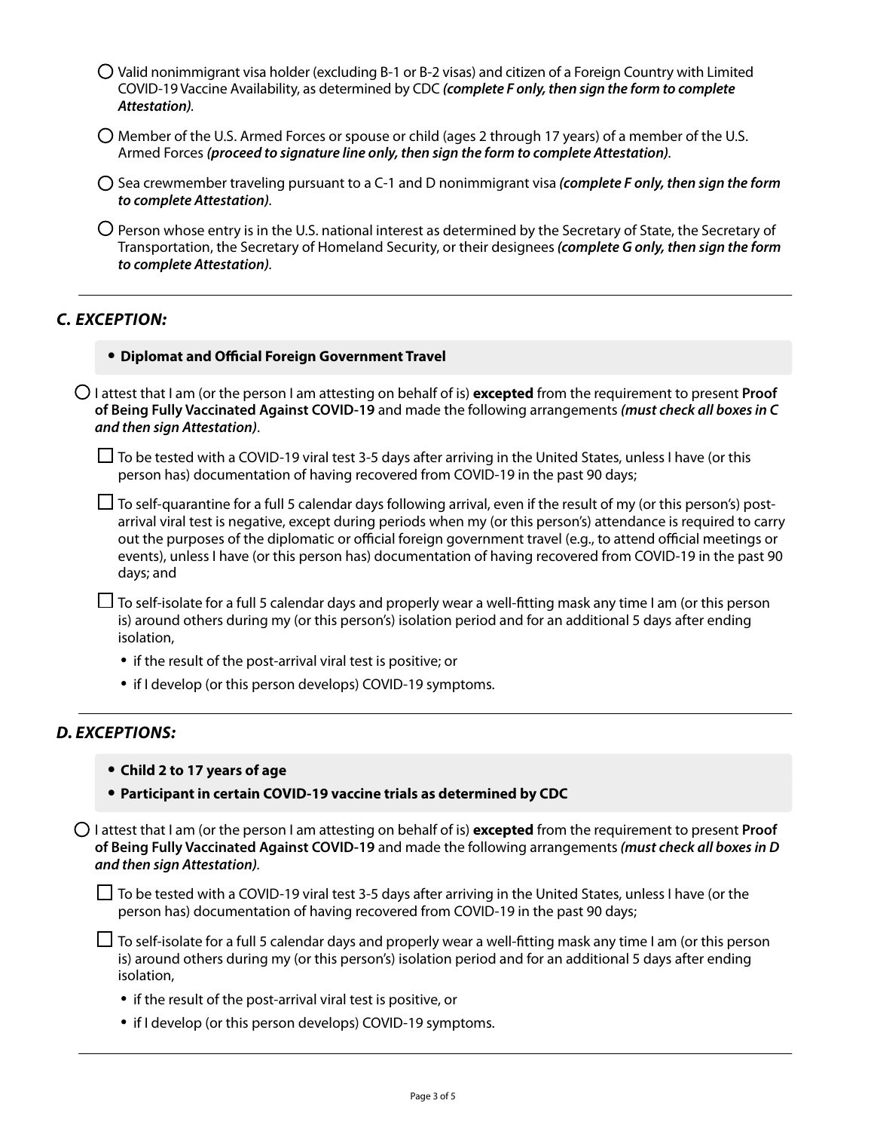- $\bigcirc$  Valid nonimmigrant visa holder (excluding B-1 or B-2 visas) and citizen of a Foreign Country with Limited COVID-19 Vaccine Availability, as determined by CDC *(complete F only, then sign the form to complete Attestation).*
- $\bigcirc$  Member of the U.S. Armed Forces or spouse or child (ages 2 through 17 years) of a member of the U.S. Armed Forces *(proceed to signature line only, then sign the form to complete Attestation).*
- Sea crewmember traveling pursuant to a C-1 and D nonimmigrant visa *(complete F only, then sign the form to complete Attestation).*
- $\bigcirc$  Person whose entry is in the U.S. national interest as determined by the Secretary of State, the Secretary of Transportation, the Secretary of Homeland Security, or their designees *(complete G only, then sign the form to complete Attestation).*

### *C. EXCEPTION:*

#### **• Diplomat and Official Foreign Government Travel**

● I attest that I am (or the person I am attesting on behalf of is) **excepted** from the requirement to present **Proof of Being Fully Vaccinated Against COVID-19** and made the following arrangements *(must check all boxes in C and then sign Attestation)*.

 $\Box$  To be tested with a COVID-19 viral test 3-5 days after arriving in the United States, unless I have (or this person has) documentation of having recovered from COVID-19 in the past 90 days;

 $\Box$  To self-quarantine for a full 5 calendar days following arrival, even if the result of my (or this person's) postarrival viral test is negative, except during periods when my (or this person's) attendance is required to carry out the purposes of the diplomatic or official foreign government travel (e.g., to attend official meetings or events), unless I have (or this person has) documentation of having recovered from COVID-19 in the past 90 days; and

 $\Box$  To self-isolate for a full 5 calendar days and properly wear a well-fitting mask any time I am (or this person is) around others during my (or this person's) isolation period and for an additional 5 days after ending isolation,

- if the result of the post-arrival viral test is positive; or
- if I develop (or this person develops) COVID-19 symptoms.

### *D. EXCEPTIONS:*

- **• Child 2 to 17 years of age**
- **• Participant in certain COVID-19 vaccine trials as determined by CDC**

● I attest that I am (or the person I am attesting on behalf of is) **excepted** from the requirement to present **Proof of Being Fully Vaccinated Against COVID-19** and made the following arrangements *(must check all boxes in D and then sign Attestation).*

 $\Box$  To be tested with a COVID-19 viral test 3-5 days after arriving in the United States, unless I have (or the person has) documentation of having recovered from COVID-19 in the past 90 days;

- $\Box$  To self-isolate for a full 5 calendar days and properly wear a well-fitting mask any time I am (or this person is) around others during my (or this person's) isolation period and for an additional 5 days after ending isolation,
	- if the result of the post-arrival viral test is positive, or
	- if I develop (or this person develops) COVID-19 symptoms.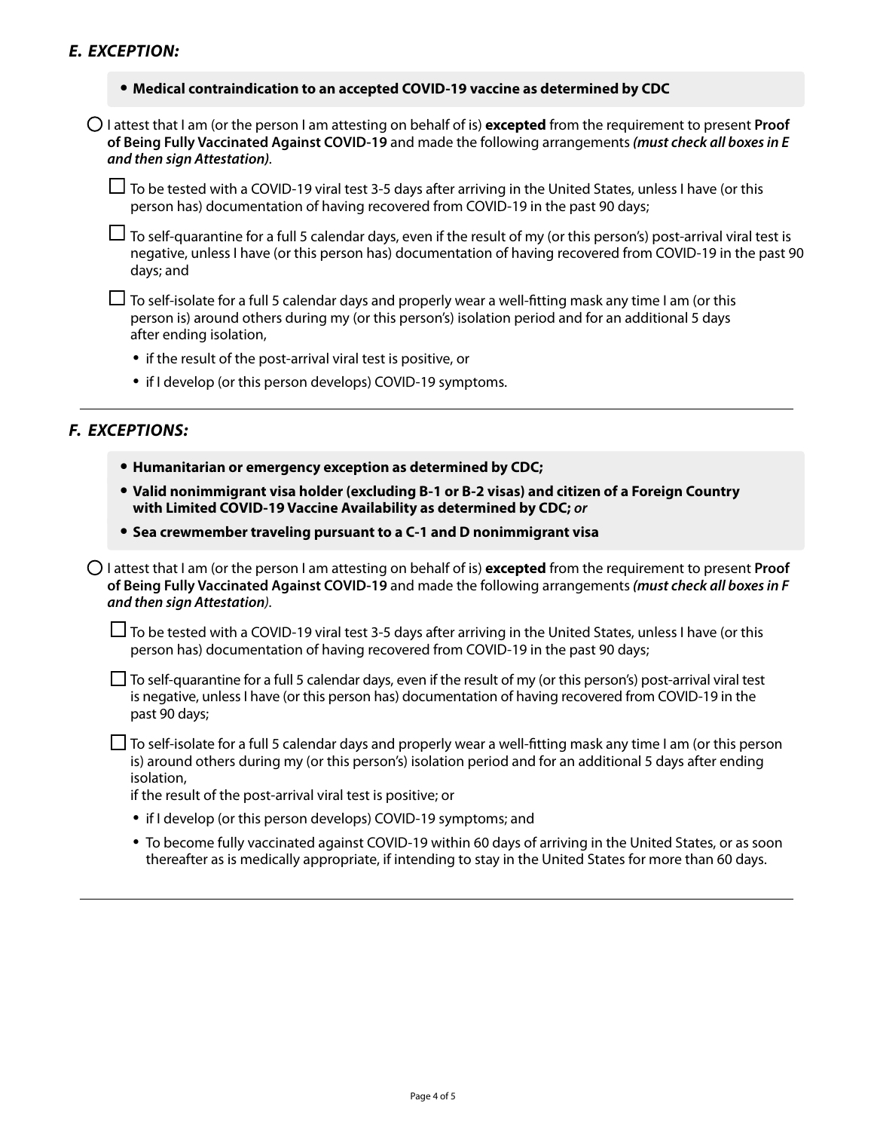#### **• Medical contraindication to an accepted COVID-19 vaccine as determined by CDC**

● I attest that I am (or the person I am attesting on behalf of is) **excepted** from the requirement to present **Proof of Being Fully Vaccinated Against COVID-19** and made the following arrangements*(must check all boxes in E and then sign Attestation).* 

 $\Box$  To be tested with a COVID-19 viral test 3-5 days after arriving in the United States, unless I have (or this person has) documentation of having recovered from COVID-19 in the past 90 days;

 $\Box$  To self-quarantine for a full 5 calendar days, even if the result of my (or this person's) post-arrival viral test is negative, unless I have (or this person has) documentation of having recovered from COVID-19 in the past 90 days; and

 $\Box$  To self-isolate for a full 5 calendar days and properly wear a well-fitting mask any time I am (or this person is) around others during my (or this person's) isolation period and for an additional 5 days after ending isolation,

- if the result of the post-arrival viral test is positive, or
- if I develop (or this person develops) COVID-19 symptoms.

#### *F. EXCEPTIONS:*

- **• Humanitarian or emergency exception as determined by CDC;**
- **• Valid nonimmigrant visa holder (excluding B-1 or B-2 visas) and citizen of a Foreign Country with Limited COVID-19 Vaccine Availability as determined by CDC;** *or*
- **• Sea crewmember traveling pursuant to a C-1 and D nonimmigrant visa**

● I attest that I am (or the person I am attesting on behalf of is) **excepted** from the requirement to present **Proof of Being Fully Vaccinated Against COVID-19** and made the following arrangements*(must check all boxes in F and then sign Attestation).* 

■ To be tested with a COVID-19 viral test 3-5 days after arriving in the United States, unless I have (or this person has) documentation of having recovered from COVID-19 in the past 90 days;

 $\Box$  To self-quarantine for a full 5 calendar days, even if the result of my (or this person's) post-arrival viral test is negative, unless I have (or this person has) documentation of having recovered from COVID-19 in the past 90 days;

 $\Box$  To self-isolate for a full 5 calendar days and properly wear a well-fitting mask any time I am (or this person is) around others during my (or this person's) isolation period and for an additional 5 days after ending isolation,

if the result of the post-arrival viral test is positive; or

- if I develop (or this person develops) COVID-19 symptoms; and
- To become fully vaccinated against COVID-19 within 60 days of arriving in the United States, or as soon thereafter as is medically appropriate, if intending to stay in the United States for more than 60 days.